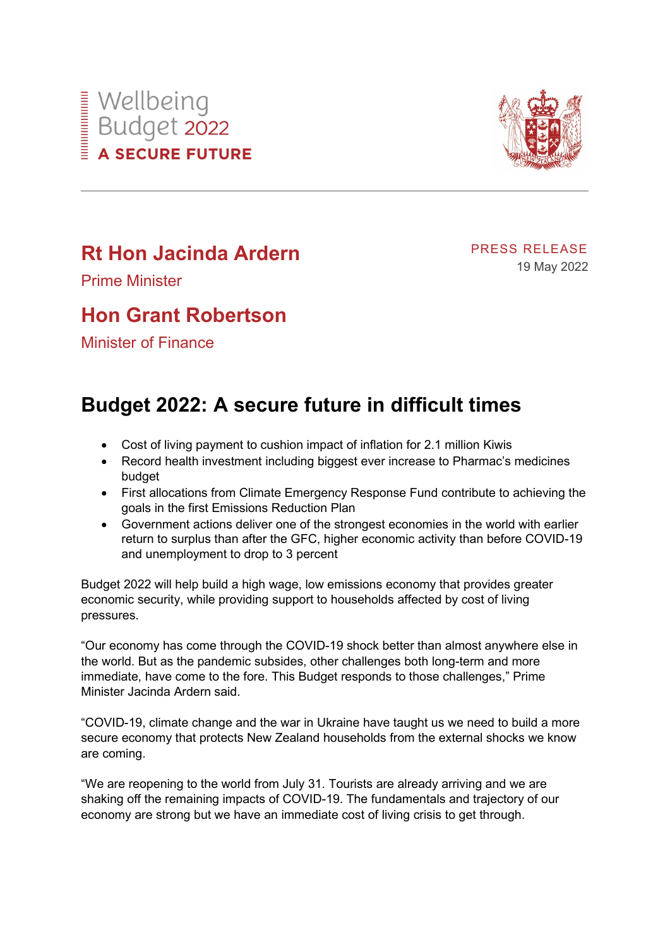



## **Rt Hon Jacinda Ardern**

PRESS RELEASE 19 May 2022

Prime Minister

## **Hon Grant Robertson**

Minister of Finance

## **Budget 2022: A secure future in difficult times**

- Cost of living payment to cushion impact of inflation for 2.1 million Kiwis
- Record health investment including biggest ever increase to Pharmac's medicines budget
- First allocations from Climate Emergency Response Fund contribute to achieving the goals in the first Emissions Reduction Plan
- Government actions deliver one of the strongest economies in the world with earlier return to surplus than after the GFC, higher economic activity than before COVID-19 and unemployment to drop to 3 percent

Budget 2022 will help build a high wage, low emissions economy that provides greater economic security, while providing support to households affected by cost of living pressures.

"Our economy has come through the COVID-19 shock better than almost anywhere else in the world. But as the pandemic subsides, other challenges both long-term and more immediate, have come to the fore. This Budget responds to those challenges," Prime Minister Jacinda Ardern said.

"COVID-19, climate change and the war in Ukraine have taught us we need to build a more secure economy that protects New Zealand households from the external shocks we know are coming.

"We are reopening to the world from July 31. Tourists are already arriving and we are shaking off the remaining impacts of COVID-19. The fundamentals and trajectory of our economy are strong but we have an immediate cost of living crisis to get through.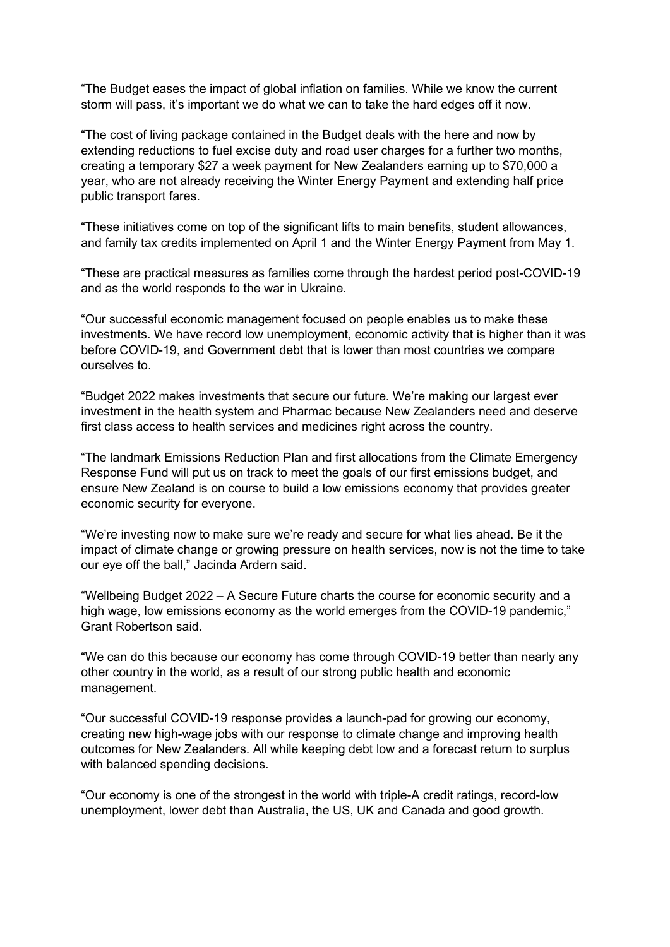"The Budget eases the impact of global inflation on families. While we know the current storm will pass, it's important we do what we can to take the hard edges off it now.

"The cost of living package contained in the Budget deals with the here and now by extending reductions to fuel excise duty and road user charges for a further two months, creating a temporary \$27 a week payment for New Zealanders earning up to \$70,000 a year, who are not already receiving the Winter Energy Payment and extending half price public transport fares.

"These initiatives come on top of the significant lifts to main benefits, student allowances, and family tax credits implemented on April 1 and the Winter Energy Payment from May 1.

"These are practical measures as families come through the hardest period post-COVID-19 and as the world responds to the war in Ukraine.

"Our successful economic management focused on people enables us to make these investments. We have record low unemployment, economic activity that is higher than it was before COVID-19, and Government debt that is lower than most countries we compare ourselves to.

"Budget 2022 makes investments that secure our future. We're making our largest ever investment in the health system and Pharmac because New Zealanders need and deserve first class access to health services and medicines right across the country.

"The landmark Emissions Reduction Plan and first allocations from the Climate Emergency Response Fund will put us on track to meet the goals of our first emissions budget, and ensure New Zealand is on course to build a low emissions economy that provides greater economic security for everyone.

"We're investing now to make sure we're ready and secure for what lies ahead. Be it the impact of climate change or growing pressure on health services, now is not the time to take our eye off the ball," Jacinda Ardern said.

"Wellbeing Budget 2022 – A Secure Future charts the course for economic security and a high wage, low emissions economy as the world emerges from the COVID-19 pandemic," Grant Robertson said.

"We can do this because our economy has come through COVID-19 better than nearly any other country in the world, as a result of our strong public health and economic management.

"Our successful COVID-19 response provides a launch-pad for growing our economy, creating new high-wage jobs with our response to climate change and improving health outcomes for New Zealanders. All while keeping debt low and a forecast return to surplus with balanced spending decisions.

"Our economy is one of the strongest in the world with triple-A credit ratings, record-low unemployment, lower debt than Australia, the US, UK and Canada and good growth.